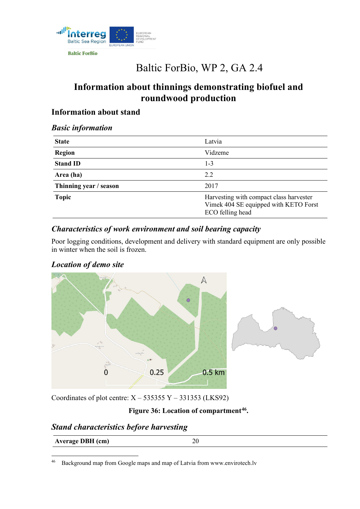

**Baltic ForBio** 

# Baltic ForBio, WP 2, GA 2.4

## **Information about thinnings demonstrating biofuel and roundwood production**

## **Information about stand**

#### *Basic information*

| <b>State</b>           | Latvia                                                                                               |
|------------------------|------------------------------------------------------------------------------------------------------|
| <b>Region</b>          | Vidzeme                                                                                              |
| <b>Stand ID</b>        | $1 - 3$                                                                                              |
| Area (ha)              | 2.2                                                                                                  |
| Thinning year / season | 2017                                                                                                 |
| <b>Topic</b>           | Harvesting with compact class harvester<br>Vimek 404 SE equipped with KETO Forst<br>ECO felling head |

## *Characteristics of work environment and soil bearing capacity*

Poor logging conditions, development and delivery with standard equipment are only possible in winter when the soil is frozen.



## *Location of demo site*

Coordinates of plot centre:  $X - 535355Y - 331353$  (LKS92)

## **Figure 36: Location of compartment[46](#page-0-0).**

## *Stand characteristics before harvesting*

| Average DBH (cm) |  |
|------------------|--|
|                  |  |

<span id="page-0-0"></span><sup>46</sup> [Background map from Google maps and map of Latvia from www.envirotech.lv](http://www.envirotech.lv/)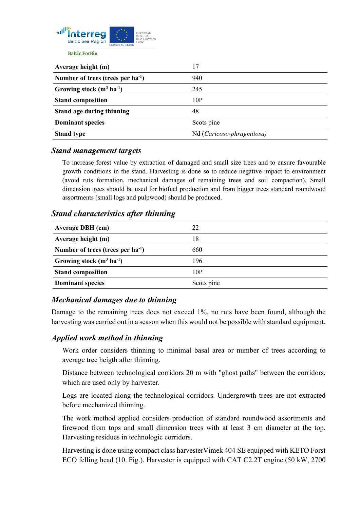

**Average height (m)** 17 **Number of trees (trees per ha-1 )** 940 **Growing stock (m3 ha-1 )** 245 **Stand composition** 10P **Stand age during thinning** 48 **Dominant species** Scots pine **Stand type** Nd (*Caricoso-phragmitosa*)

#### *Stand management targets*

To increase forest value by extraction of damaged and small size trees and to ensure favourable growth conditions in the stand. Harvesting is done so to reduce negative impact to environment (avoid ruts formation, mechanical damages of remaining trees and soil compaction). Small dimension trees should be used for biofuel production and from bigger trees standard roundwood assortments (small logs and pulpwood) should be produced.

#### *Stand characteristics after thinning*

| <b>Average DBH</b> (cm)                | 22         |
|----------------------------------------|------------|
| Average height (m)                     | 18         |
| Number of trees (trees per $ha^{-1}$ ) | 660        |
| Growing stock $(m^3 \text{ ha}^{-1})$  | 196        |
| <b>Stand composition</b>               | 10P        |
| <b>Dominant species</b>                | Scots pine |

#### *Mechanical damages due to thinning*

Damage to the remaining trees does not exceed 1%, no ruts have been found, although the harvesting was carried out in a season when this would not be possible with standard equipment.

#### *Applied work method in thinning*

Work order considers thinning to minimal basal area or number of trees according to average tree heigth after thinning.

Distance between technological corridors 20 m with "ghost paths" between the corridors, which are used only by harvester.

Logs are located along the technological corridors. Undergrowth trees are not extracted before mechanized thinning.

The work method applied considers production of standard roundwood assortments and firewood from tops and small dimension trees with at least 3 cm diameter at the top. Harvesting residues in technologic corridors.

Harvesting is done using compact class harvesterVimek 404 SE equipped with KETO Forst ECO felling head (10. Fig.). Harvester is equipped with CAT C2.2T engine (50 kW, 2700